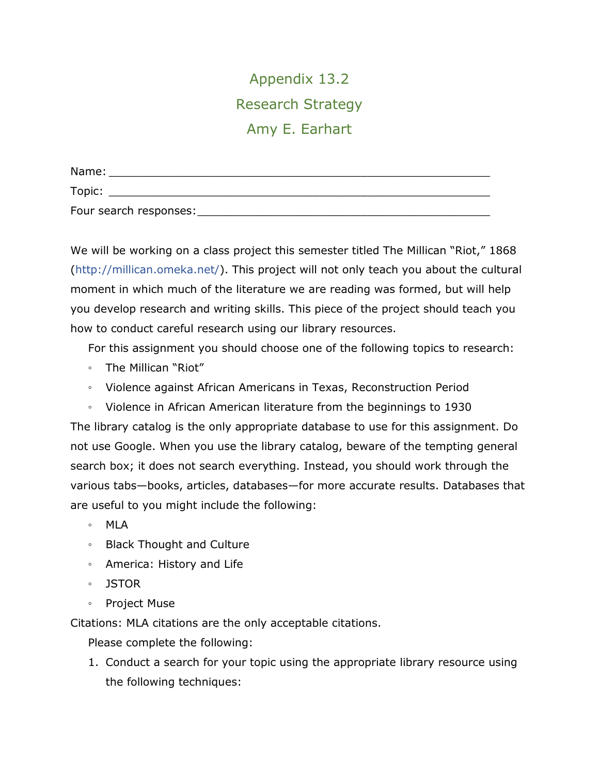Appendix 13.2 Research Strategy Amy E. Earhart

| Name:                  |  |
|------------------------|--|
| Topic:                 |  |
| Four search responses: |  |

We will be working on a class project this semester titled The Millican "Riot," 1868 [\(http://millican.omeka.net/\)](http://millican.omeka.net/). This project will not only teach you about the cultural moment in which much of the literature we are reading was formed, but will help you develop research and writing skills. This piece of the project should teach you how to conduct careful research using our library resources.

For this assignment you should choose one of the following topics to research:

- The Millican "Riot"
- Violence against African Americans in Texas, Reconstruction Period
- Violence in African American literature from the beginnings to 1930

The library catalog is the only appropriate database to use for this assignment. Do not use Google. When you use the library catalog, beware of the tempting general search box; it does not search everything. Instead, you should work through the various tabs—books, articles, databases—for more accurate results. Databases that are useful to you might include the following:

- MLA
- Black Thought and Culture
- America: History and Life
- JSTOR
- Project Muse

Citations: MLA citations are the only acceptable citations.

Please complete the following:

1. Conduct a search for your topic using the appropriate library resource using the following techniques: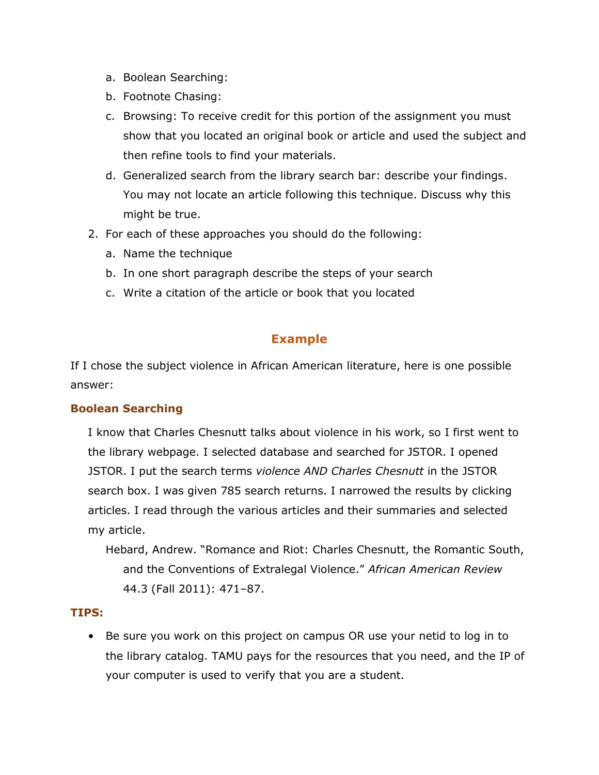- a. Boolean Searching:
- b. Footnote Chasing:
- c. Browsing: To receive credit for this portion of the assignment you must show that you located an original book or article and used the subject and then refine tools to find your materials.
- d. Generalized search from the library search bar: describe your findings. You may not locate an article following this technique. Discuss why this might be true.
- 2. For each of these approaches you should do the following:
	- a. Name the technique
	- b. In one short paragraph describe the steps of your search
	- c. Write a citation of the article or book that you located

## **Example**

If I chose the subject violence in African American literature, here is one possible answer:

## **Boolean Searching**

I know that Charles Chesnutt talks about violence in his work, so I first went to the library webpage. I selected database and searched for JSTOR. I opened JSTOR. I put the search terms *violence AND Charles Chesnutt* in the JSTOR search box. I was given 785 search returns. I narrowed the results by clicking articles. I read through the various articles and their summaries and selected my article.

Hebard, Andrew. "Romance and Riot: Charles Chesnutt, the Romantic South, and the Conventions of Extralegal Violence." *African American Review* 44.3 (Fall 2011): 471–87.

## **TIPS:**

• Be sure you work on this project on campus OR use your netid to log in to the library catalog. TAMU pays for the resources that you need, and the IP of your computer is used to verify that you are a student.